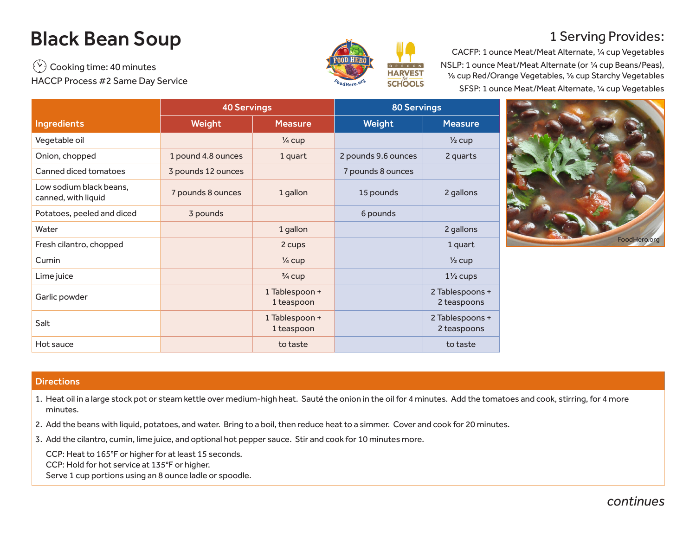## Black Bean Soup

 $\widetilde{\mathcal{C}}$  Cooking time: 40 minutes HACCP Process #2 Same Day Service



## 1 Serving Provides:

CACFP: 1 ounce Meat/Meat Alternate, ¼ cup Vegetables NSLP: 1 ounce Meat/Meat Alternate (or ¼ cup Beans/Peas), ⅛ cup Red/Orange Vegetables, ⅛ cup Starchy Vegetables SFSP: 1 ounce Meat/Meat Alternate, ¼ cup Vegetables

|                                                | <b>40 Servings</b> |                              | <b>80 Servings</b>  |                                |  |  |
|------------------------------------------------|--------------------|------------------------------|---------------------|--------------------------------|--|--|
| <b>Ingredients</b>                             | Weight             | <b>Measure</b>               | Weight              | <b>Measure</b>                 |  |  |
| Vegetable oil                                  |                    | $\frac{1}{4}$ cup            |                     | $\frac{1}{2}$ cup              |  |  |
| Onion, chopped                                 | 1 pound 4.8 ounces | 1 quart                      | 2 pounds 9.6 ounces | 2 quarts                       |  |  |
| Canned diced tomatoes                          | 3 pounds 12 ounces |                              | 7 pounds 8 ounces   |                                |  |  |
| Low sodium black beans.<br>canned, with liquid | 7 pounds 8 ounces  | 1 gallon                     | 15 pounds           | 2 gallons                      |  |  |
| Potatoes, peeled and diced                     | 3 pounds           |                              | 6 pounds            |                                |  |  |
| Water                                          |                    | 1 gallon                     |                     | 2 gallons                      |  |  |
| Fresh cilantro, chopped                        |                    | 2 cups                       |                     | 1 quart                        |  |  |
| Cumin                                          |                    | $\frac{1}{4}$ cup            |                     | $\frac{1}{2}$ cup              |  |  |
| Lime juice                                     |                    | $\frac{3}{4}$ cup            |                     | $1\frac{1}{2}$ cups            |  |  |
| Garlic powder                                  |                    | 1 Tablespoon +<br>1 teaspoon |                     | 2 Tablespoons +<br>2 teaspoons |  |  |
| Salt                                           |                    | 1 Tablespoon +<br>1 teaspoon |                     | 2 Tablespoons +<br>2 teaspoons |  |  |
| Hot sauce                                      |                    | to taste                     |                     | to taste                       |  |  |



## **Directions**

- 1. Heat oil in a large stock pot or steam kettle over medium-high heat. Sauté the onion in the oil for 4 minutes. Add the tomatoes and cook, stirring, for 4 more minutes.
- 2. Add the beans with liquid, potatoes, and water. Bring to a boil, then reduce heat to a simmer. Cover and cook for 20 minutes.
- 3. Add the cilantro, cumin, lime juice, and optional hot pepper sauce. Stir and cook for 10 minutes more.

CCP: Heat to 165°F or higher for at least 15 seconds. CCP: Hold for hot service at 135°F or higher.

Serve 1 cup portions using an 8 ounce ladle or spoodle.